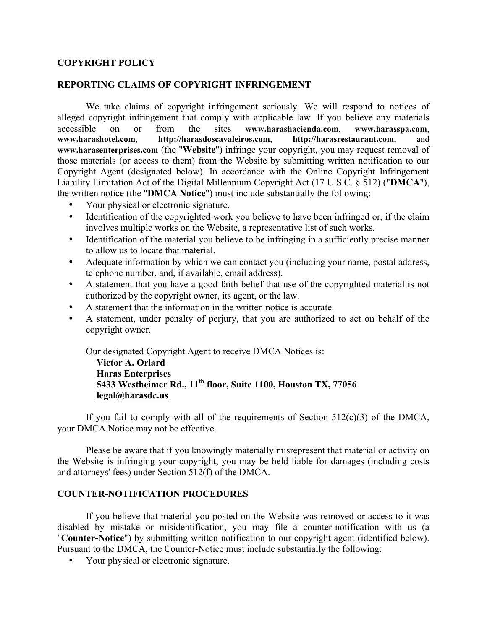## **COPYRIGHT POLICY**

## **REPORTING CLAIMS OF COPYRIGHT INFRINGEMENT**

We take claims of copyright infringement seriously. We will respond to notices of alleged copyright infringement that comply with applicable law. If you believe any materials accessible on or from the sites **www.harashacienda.com**, **www.harasspa.com**, **www.harashotel.com**, **http://harasdoscavaleiros.com**, **http://harasrestaurant.com**, and **www.harasenterprises.com** (the "**Website**") infringe your copyright, you may request removal of those materials (or access to them) from the Website by submitting written notification to our Copyright Agent (designated below). In accordance with the Online Copyright Infringement Liability Limitation Act of the Digital Millennium Copyright Act (17 U.S.C. § 512) ("**DMCA**"), the written notice (the "**DMCA Notice**") must include substantially the following:

- Your physical or electronic signature.
- Identification of the copyrighted work you believe to have been infringed or, if the claim involves multiple works on the Website, a representative list of such works.
- Identification of the material you believe to be infringing in a sufficiently precise manner to allow us to locate that material.
- Adequate information by which we can contact you (including your name, postal address, telephone number, and, if available, email address).
- A statement that you have a good faith belief that use of the copyrighted material is not authorized by the copyright owner, its agent, or the law.
- A statement that the information in the written notice is accurate.
- A statement, under penalty of perjury, that you are authorized to act on behalf of the copyright owner.

Our designated Copyright Agent to receive DMCA Notices is:

**Victor A. Oriard Haras Enterprises 5433 Westheimer Rd., 11th floor, Suite 1100, Houston TX, 77056 [legal@harasdc.us](mailto:legal@harasdc.us)**

If you fail to comply with all of the requirements of Section  $512(c)(3)$  of the DMCA, your DMCA Notice may not be effective.

Please be aware that if you knowingly materially misrepresent that material or activity on the Website is infringing your copyright, you may be held liable for damages (including costs and attorneys' fees) under Section 512(f) of the DMCA.

## **COUNTER-NOTIFICATION PROCEDURES**

If you believe that material you posted on the Website was removed or access to it was disabled by mistake or misidentification, you may file a counter-notification with us (a "**Counter-Notice**") by submitting written notification to our copyright agent (identified below). Pursuant to the DMCA, the Counter-Notice must include substantially the following:

• Your physical or electronic signature.